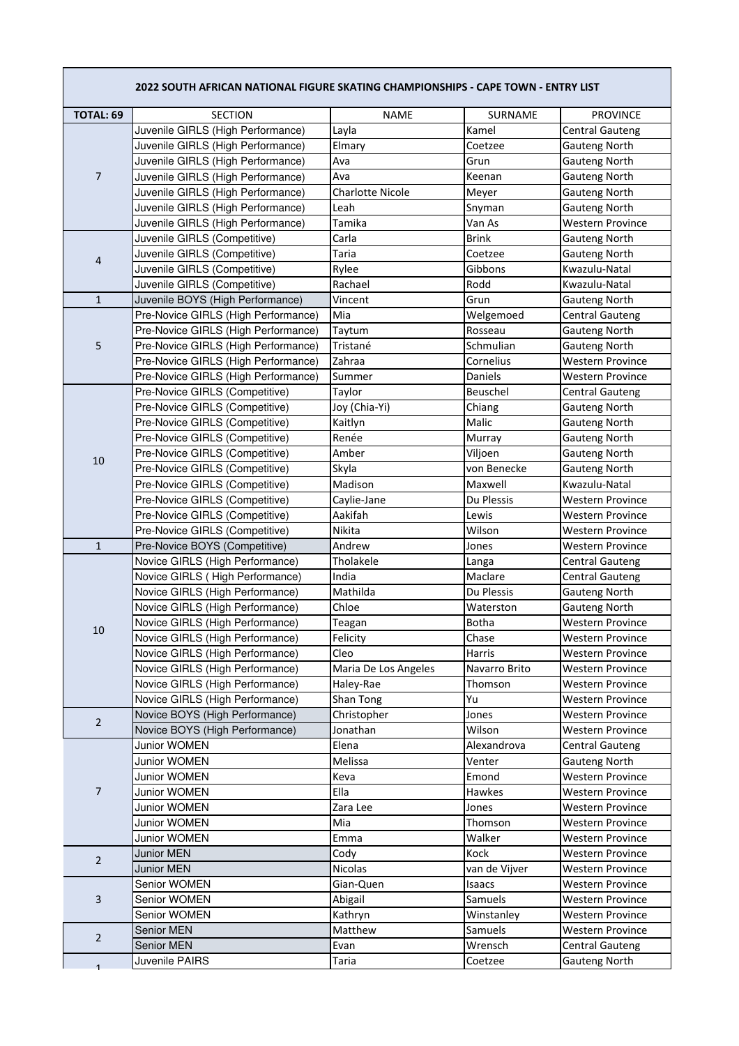|                     | 2022 SOUTH AFRICAN NATIONAL FIGURE SKATING CHAMPIONSHIPS - CAPE TOWN - ENTRY LIST |                         |                        |                                                    |
|---------------------|-----------------------------------------------------------------------------------|-------------------------|------------------------|----------------------------------------------------|
| <b>TOTAL: 69</b>    | <b>SECTION</b>                                                                    | <b>NAME</b>             | SURNAME                | <b>PROVINCE</b>                                    |
|                     | Juvenile GIRLS (High Performance)                                                 | Layla                   | Kamel                  | <b>Central Gauteng</b>                             |
|                     | Juvenile GIRLS (High Performance)                                                 | Elmary                  | Coetzee                | <b>Gauteng North</b>                               |
| 7                   | Juvenile GIRLS (High Performance)                                                 | Ava                     | Grun                   | <b>Gauteng North</b>                               |
|                     | Juvenile GIRLS (High Performance)                                                 | Ava                     | Keenan                 | <b>Gauteng North</b>                               |
|                     | Juvenile GIRLS (High Performance)                                                 | <b>Charlotte Nicole</b> | Meyer                  | <b>Gauteng North</b>                               |
|                     | Juvenile GIRLS (High Performance)                                                 | Leah                    | Snyman                 | <b>Gauteng North</b>                               |
|                     | Juvenile GIRLS (High Performance)                                                 | Tamika                  | Van As                 | <b>Western Province</b>                            |
| 4                   | Juvenile GIRLS (Competitive)                                                      | Carla                   | <b>Brink</b>           | <b>Gauteng North</b>                               |
|                     | Juvenile GIRLS (Competitive)                                                      | <b>Taria</b>            | Coetzee                | Gauteng North                                      |
|                     | Juvenile GIRLS (Competitive)                                                      | Rylee                   | Gibbons                | Kwazulu-Natal                                      |
|                     | Juvenile GIRLS (Competitive)                                                      | Rachael                 | Rodd                   | Kwazulu-Natal                                      |
| $\mathbf 1$         | Juvenile BOYS (High Performance)                                                  | Vincent                 | Grun                   | <b>Gauteng North</b>                               |
|                     | Pre-Novice GIRLS (High Performance)                                               | Mia                     | Welgemoed              | <b>Central Gauteng</b>                             |
|                     | Pre-Novice GIRLS (High Performance)                                               | Taytum                  | Rosseau                | <b>Gauteng North</b>                               |
| 5                   | Pre-Novice GIRLS (High Performance)                                               | Tristané                | Schmulian              | <b>Gauteng North</b>                               |
|                     | Pre-Novice GIRLS (High Performance)                                               | Zahraa                  | Cornelius              | <b>Western Province</b>                            |
|                     | Pre-Novice GIRLS (High Performance)                                               | Summer                  | Daniels                | <b>Western Province</b>                            |
|                     | Pre-Novice GIRLS (Competitive)                                                    | Taylor                  | Beuschel               | <b>Central Gauteng</b>                             |
|                     | Pre-Novice GIRLS (Competitive)                                                    | Joy (Chia-Yi)           | Chiang                 | Gauteng North                                      |
|                     | Pre-Novice GIRLS (Competitive)                                                    | Kaitlyn                 | Malic                  | <b>Gauteng North</b>                               |
|                     | Pre-Novice GIRLS (Competitive)                                                    | Renée                   | Murray                 | Gauteng North                                      |
| 10                  | Pre-Novice GIRLS (Competitive)                                                    | Amber                   | Viljoen                | <b>Gauteng North</b>                               |
|                     | Pre-Novice GIRLS (Competitive)                                                    | Skyla                   | von Benecke            | <b>Gauteng North</b>                               |
|                     | Pre-Novice GIRLS (Competitive)                                                    | Madison                 | Maxwell                | Kwazulu-Natal                                      |
|                     | Pre-Novice GIRLS (Competitive)                                                    | Caylie-Jane             | Du Plessis             | <b>Western Province</b>                            |
|                     | Pre-Novice GIRLS (Competitive)                                                    | Aakifah                 | Lewis                  | <b>Western Province</b>                            |
|                     | Pre-Novice GIRLS (Competitive)                                                    | Nikita                  | Wilson                 | <b>Western Province</b>                            |
| $\mathbf{1}$        | Pre-Novice BOYS (Competitive)                                                     | Andrew                  | Jones                  | <b>Western Province</b>                            |
|                     | Novice GIRLS (High Performance)                                                   | Tholakele               | Langa                  | <b>Central Gauteng</b>                             |
|                     | Novice GIRLS (High Performance)                                                   | India                   | Maclare                | <b>Central Gauteng</b>                             |
|                     | Novice GIRLS (High Performance)                                                   | Mathilda                | Du Plessis             | <b>Gauteng North</b>                               |
|                     | Novice GIRLS (High Performance)                                                   | Chloe                   | Waterston              | <b>Gauteng North</b>                               |
| 10                  | Novice GIRLS (High Performance)                                                   | Teagan                  | <b>Botha</b>           | <b>Western Province</b>                            |
|                     | Novice GIRLS (High Performance)                                                   | Felicity<br>Cleo        | Chase<br><b>Harris</b> | <b>Western Province</b>                            |
|                     | Novice GIRLS (High Performance)<br>Novice GIRLS (High Performance)                | Maria De Los Angeles    | Navarro Brito          | <b>Western Province</b><br><b>Western Province</b> |
|                     | Novice GIRLS (High Performance)                                                   | Haley-Rae               | Thomson                | Western Province                                   |
|                     | Novice GIRLS (High Performance)                                                   | Shan Tong               | Yu                     | <b>Western Province</b>                            |
|                     | Novice BOYS (High Performance)                                                    | Christopher             | Jones                  | <b>Western Province</b>                            |
| $\overline{2}$      | Novice BOYS (High Performance)                                                    | Jonathan                | Wilson                 | <b>Western Province</b>                            |
|                     | Junior WOMEN                                                                      | Elena                   | Alexandrova            | <b>Central Gauteng</b>                             |
|                     | Junior WOMEN                                                                      | Melissa                 | Venter                 | <b>Gauteng North</b>                               |
|                     | Junior WOMEN                                                                      | Keva                    | Emond                  | <b>Western Province</b>                            |
| $\overline{7}$      | Junior WOMEN                                                                      | Ella                    | Hawkes                 | <b>Western Province</b>                            |
|                     | Junior WOMEN                                                                      | Zara Lee                | Jones                  | Western Province                                   |
|                     | Junior WOMEN                                                                      | Mia                     | Thomson                | <b>Western Province</b>                            |
|                     | Junior WOMEN                                                                      | Emma                    | Walker                 | <b>Western Province</b>                            |
| $\overline{2}$      | Junior MEN                                                                        | Cody                    | Kock                   | <b>Western Province</b>                            |
|                     | <b>Junior MEN</b>                                                                 | Nicolas                 | van de Vijver          | <b>Western Province</b>                            |
| 3                   | Senior WOMEN                                                                      | Gian-Quen               | Isaacs                 | <b>Western Province</b>                            |
|                     | Senior WOMEN                                                                      | Abigail                 | Samuels                | <b>Western Province</b>                            |
|                     | Senior WOMEN                                                                      | Kathryn                 | Winstanley             | <b>Western Province</b>                            |
| $\overline{2}$<br>1 | <b>Senior MEN</b>                                                                 | Matthew                 | Samuels                | Western Province                                   |
|                     | Senior MEN                                                                        | Evan                    | Wrensch                | <b>Central Gauteng</b>                             |
|                     | Juvenile PAIRS                                                                    | Taria                   | Coetzee                | <b>Gauteng North</b>                               |
|                     |                                                                                   |                         |                        |                                                    |